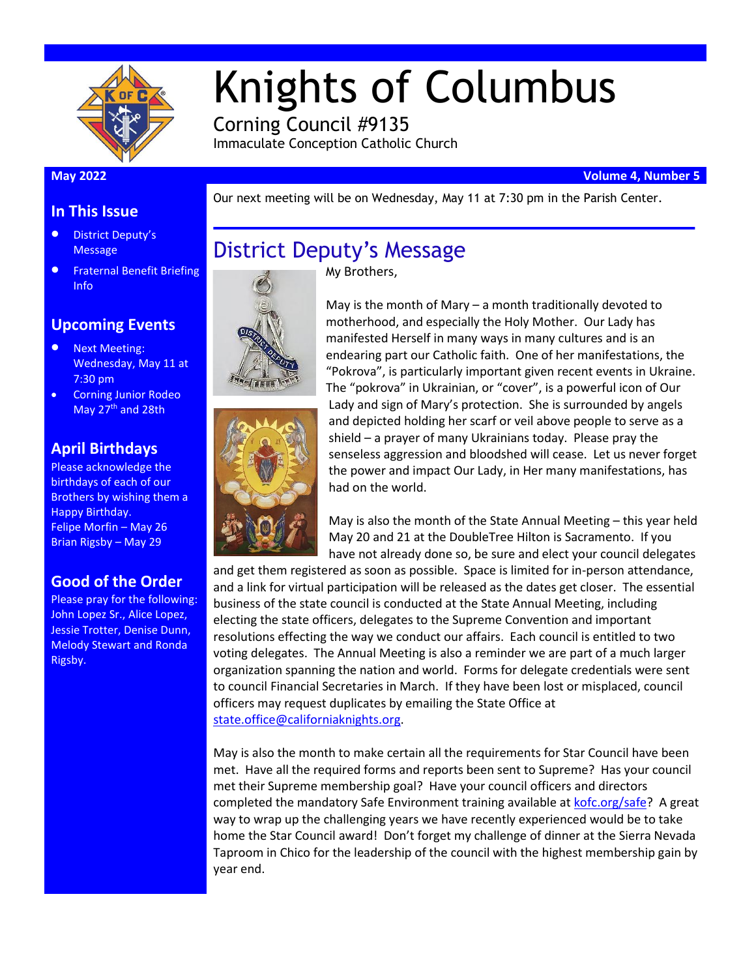

# Knights of Columbus

Corning Council #9135 Immaculate Conception Catholic Church

District Deputy's Message

#### **May 2022 Volume 4, Number 5**

Our next meeting will be on Wednesday, May 11 at 7:30 pm in the Parish Center.

#### **In This Issue**

- District Deputy's **Message**
- Fraternal Benefit Briefing Info

#### **Upcoming Events**

- Next Meeting: Wednesday, May 11 at 7:30 pm
- Corning Junior Rodeo May 27<sup>th</sup> and 28th

#### **April Birthdays**

Please acknowledge the birthdays of each of our Brothers by wishing them a Happy Birthday. Felipe Morfin – May 26 Brian Rigsby – May 29

#### **Good of the Order**

Please pray for the following: John Lopez Sr., Alice Lopez, Jessie Trotter, Denise Dunn, Melody Stewart and Ronda Rigsby.





May is the month of Mary – a month traditionally devoted to motherhood, and especially the Holy Mother. Our Lady has manifested Herself in many ways in many cultures and is an endearing part our Catholic faith. One of her manifestations, the "Pokrova", is particularly important given recent events in Ukraine. The "pokrova" in Ukrainian, or "cover", is a powerful icon of Our Lady and sign of Mary's protection. She is surrounded by angels and depicted holding her scarf or veil above people to serve as a shield – a prayer of many Ukrainians today. Please pray the senseless aggression and bloodshed will cease. Let us never forget the power and impact Our Lady, in Her many manifestations, has had on the world.

May is also the month of the State Annual Meeting – this year held May 20 and 21 at the DoubleTree Hilton is Sacramento. If you have not already done so, be sure and elect your council delegates

and get them registered as soon as possible. Space is limited for in-person attendance, and a link for virtual participation will be released as the dates get closer. The essential business of the state council is conducted at the State Annual Meeting, including electing the state officers, delegates to the Supreme Convention and important resolutions effecting the way we conduct our affairs. Each council is entitled to two voting delegates. The Annual Meeting is also a reminder we are part of a much larger organization spanning the nation and world. Forms for delegate credentials were sent to council Financial Secretaries in March. If they have been lost or misplaced, council officers may request duplicates by emailing the State Office at [state.office@californiaknights.org.](mailto:state.office@californiaknights.org)

May is also the month to make certain all the requirements for Star Council have been met. Have all the required forms and reports been sent to Supreme? Has your council met their Supreme membership goal? Have your council officers and directors completed the mandatory Safe Environment training available at [kofc.org/safe?](https://www.kofc.org/safe) A great way to wrap up the challenging years we have recently experienced would be to take home the Star Council award! Don't forget my challenge of dinner at the Sierra Nevada Taproom in Chico for the leadership of the council with the highest membership gain by year end.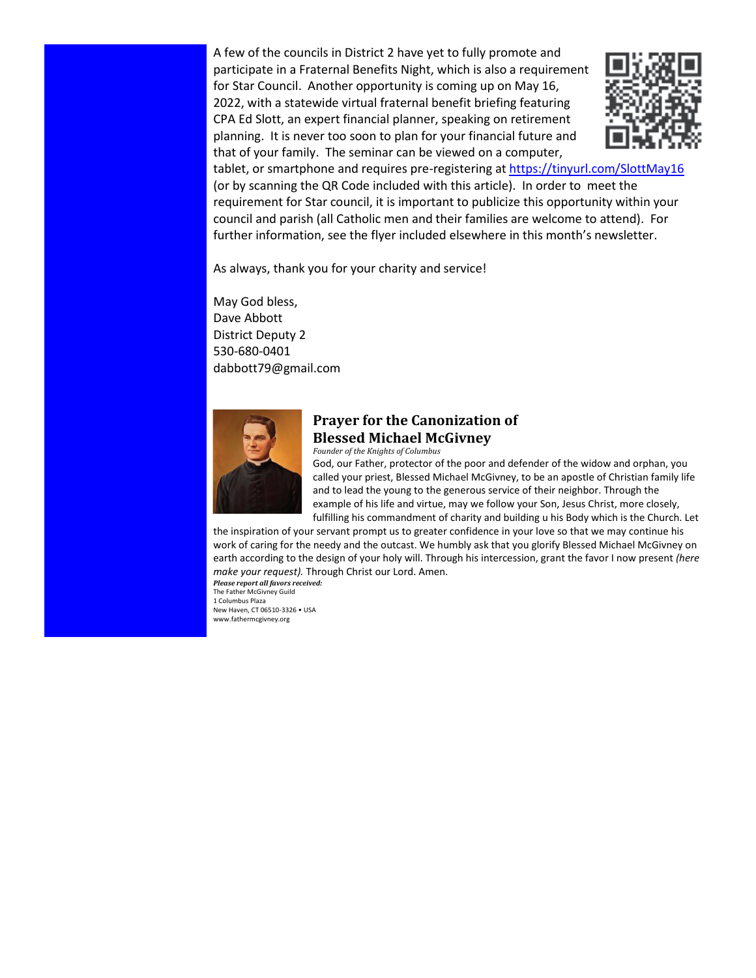A few of the councils in District 2 have yet to fully promote and participate in a Fraternal Benefits Night, which is also a requirement for Star Council. Another opportunity is coming up on May 16, 2022, with a statewide virtual fraternal benefit briefing featuring CPA Ed Slott, an expert financial planner, speaking on retirement planning. It is never too soon to plan for your financial future and that of your family. The seminar can be viewed on a computer,



tablet, or smartphone and requires pre-registering a[t https://tinyurl.com/SlottMay16](https://tinyurl.com/SlottMay16) (or by scanning the QR Code included with this article). In order to meet the requirement for Star council, it is important to publicize this opportunity within your council and parish (all Catholic men and their families are welcome to attend). For further information, see the flyer included elsewhere in this month's newsletter.

As always, thank you for your charity and service!

May God bless, Dave Abbott District Deputy 2 530-680-0401 dabbott79@gmail.com



#### **Prayer for the Canonization of Blessed Michael McGivney**

*Founder of the Knights of Columbus* 

God, our Father, protector of the poor and defender of the widow and orphan, you called your priest, Blessed Michael McGivney, to be an apostle of Christian family life and to lead the young to the generous service of their neighbor. Through the example of his life and virtue, may we follow your Son, Jesus Christ, more closely, fulfilling his commandment of charity and building u his Body which is the Church. Let

the inspiration of your servant prompt us to greater confidence in your love so that we may continue his work of caring for the needy and the outcast. We humbly ask that you glorify Blessed Michael McGivney on earth according to the design of your holy will. Through his intercession, grant the favor I now present *(here make your request).* Through Christ our Lord. Amen.

*Please report all favors received:*  The Father McGivney Guild 1 Columbus Plaza New Haven, CT 06510-3326 • USA www.fathermcgivney.org